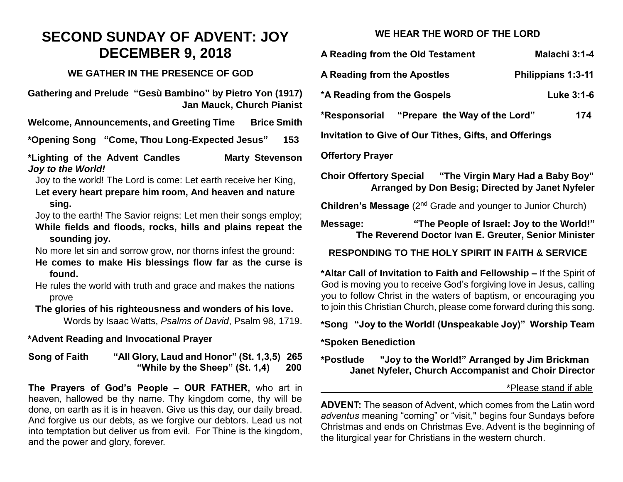# **SECOND SUNDAY OF ADVENT: JOY DECEMBER 9, 2018**

#### **WE GATHER IN THE PRESENCE OF GOD**

**Gathering and Prelude "Gesù Bambino" by Pietro Yon (1917) Jan Mauck, Church Pianist** 

**Welcome, Announcements, and Greeting Time Brice Smith**

**\*Opening Song "Come, Thou Long-Expected Jesus" 153**

**\*Lighting of the Advent Candles Marty Stevenson**  *Joy to the World!*

Joy to the world! The Lord is come: Let earth receive her King, **Let every heart prepare him room, And heaven and nature sing.**

Joy to the earth! The Savior reigns: Let men their songs employ; **While fields and floods, rocks, hills and plains repeat the sounding joy.**

No more let sin and sorrow grow, nor thorns infest the ground:

**He comes to make His blessings flow far as the curse is found.**

He rules the world with truth and grace and makes the nations prove

**The glories of his righteousness and wonders of his love.**  Words by Isaac Watts, *Psalms of David*, Psalm 98, 1719.

## **\*Advent Reading and Invocational Prayer**

**Song of Faith "All Glory, Laud and Honor" (St. 1,3,5) 265 "While by the Sheep" (St. 1,4) 200**

**The Prayers of God's People – OUR FATHER,** who art in heaven, hallowed be thy name. Thy kingdom come, thy will be done, on earth as it is in heaven. Give us this day, our daily bread. And forgive us our debts, as we forgive our debtors. Lead us not into temptation but deliver us from evil. For Thine is the kingdom, and the power and glory, forever.

## **WE HEAR THE WORD OF THE LORD**

| A Reading from the Old Testament                                                                                                                                                                                                                                                         | Malachi 3:1-4             |
|------------------------------------------------------------------------------------------------------------------------------------------------------------------------------------------------------------------------------------------------------------------------------------------|---------------------------|
| A Reading from the Apostles                                                                                                                                                                                                                                                              | <b>Philippians 1:3-11</b> |
| *A Reading from the Gospels                                                                                                                                                                                                                                                              | Luke 3:1-6                |
| *Responsorial "Prepare the Way of the Lord"                                                                                                                                                                                                                                              | 174                       |
| <b>Invitation to Give of Our Tithes, Gifts, and Offerings</b>                                                                                                                                                                                                                            |                           |
| <b>Offertory Prayer</b>                                                                                                                                                                                                                                                                  |                           |
| Choir Offertory Special "The Virgin Mary Had a Baby Boy"<br>Arranged by Don Besig; Directed by Janet Nyfeler                                                                                                                                                                             |                           |
| <b>Children's Message</b> (2 <sup>nd</sup> Grade and younger to Junior Church)                                                                                                                                                                                                           |                           |
| "The People of Israel: Joy to the World!"<br>Message:<br>The Reverend Doctor Ivan E. Greuter, Senior Minister                                                                                                                                                                            |                           |
| <b>RESPONDING TO THE HOLY SPIRIT IN FAITH &amp; SERVICE</b>                                                                                                                                                                                                                              |                           |
| *Altar Call of Invitation to Faith and Fellowship – If the Spirit of<br>God is moving you to receive God's forgiving love in Jesus, calling<br>you to follow Christ in the waters of baptism, or encouraging you<br>to join this Christian Church, please come forward during this song. |                           |

**\*Song "Joy to the World! (Unspeakable Joy)" Worship Team**

#### **\*Spoken Benediction**

**\*Postlude "Joy to the World!" Arranged by Jim Brickman Janet Nyfeler, Church Accompanist and Choir Director**

#### \*Please stand if able

**ADVENT:** The season of Advent, which comes from the Latin word *adventus* meaning "coming" or "visit," begins four Sundays before Christmas and ends on Christmas Eve. Advent is the beginning of the liturgical year for Christians in the western church.